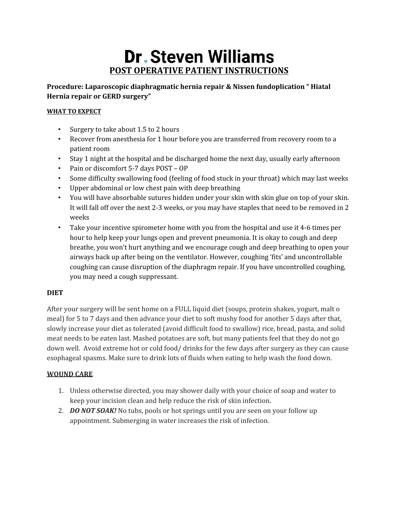# **Dr. Steven Williams POST OPERATIVE PATIENT INSTRUCTIONS**

**Procedure: Laparoscopic diaphragmatic hernia repair & Nissen fundoplication " Hiatal Hernia repair or GERD surgery"**

# **WHAT TO EXPECT**

- Surgery to take about 1.5 to 2 hours
- Recover from anesthesia for 1 hour before you are transferred from recovery room to a patient room
- Stay 1 night at the hospital and be discharged home the next day, usually early afternoon
- Pain or discomfort 5-7 days POST OP
- Some difficulty swallowing food (feeling of food stuck in your throat) which may last weeks
- Upper abdominal or low chest pain with deep breathing
- You will have absorbable sutures hidden under your skin with skin glue on top of your skin. It will fall off over the next 2-3 weeks, or you may have staples that need to be removed in 2 weeks
- Take your incentive spirometer home with you from the hospital and use it 4-6 times per hour to help keep your lungs open and prevent pneumonia. It is okay to cough and deep breathe, you won't hurt anything and we encourage cough and deep breathing to open your airways back up after being on the ventilator. However, coughing 'fits' and uncontrollable coughing can cause disruption of the diaphragm repair. If you have uncontrolled coughing, you may need a cough suppressant.

# **DIET**

After your surgery will be sent home on a FULL liquid diet (soups, protein shakes, yogurt, malt o meal) for 5 to 7 days and then advance your diet to soft mushy food for another 5 days after that, slowly increase your diet as tolerated (avoid difficult food to swallow) rice, bread, pasta, and solid meat needs to be eaten last. Mashed potatoes are soft, but many patients feel that they do not go down well. Avoid extreme hot or cold food/ drinks for the few days after surgery as they can cause esophageal spasms. Make sure to drink lots of fluids when eating to help wash the food down.

# **WOUND CARE**

- 1. Unless otherwise directed, you may shower daily with your choice of soap and water to keep your incision clean and help reduce the risk of skin infection.
- 2. *DO NOT SOAK!* No tubs, pools or hot springs until you are seen on your follow up appointment. Submerging in water increases the risk of infection.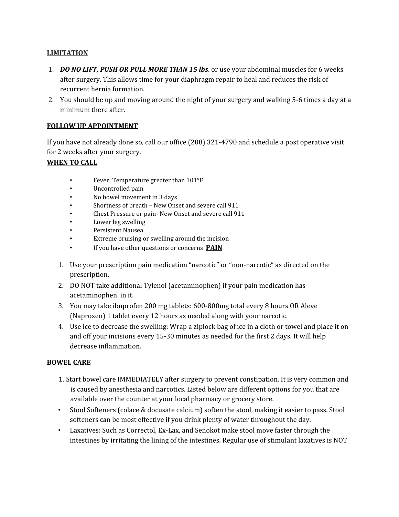#### **LIMITATION**

- 1. *DO NO LIFT, PUSH OR PULL MORE THAN 15 lbs*. or use your abdominal muscles for 6 weeks after surgery. This allows time for your diaphragm repair to heal and reduces the risk of recurrent hernia formation.
- 2. You should be up and moving around the night of your surgery and walking 5-6 times a day at a minimum there after.

## **FOLLOW UP APPOINTMENT**

If you have not already done so, call our office (208) 321-4790 and schedule a post operative visit for 2 weeks after your surgery.

## **WHEN TO CALL**

- Fever: Temperature greater than 101**°F**
- Uncontrolled pain
- No bowel movement in 3 days
- Shortness of breath New Onset and severe call 911
- Chest Pressure or pain- New Onset and severe call 911
- Lower leg swelling
- Persistent Nausea
- Extreme bruising or swelling around the incision
- If you have other questions or concerns **PAIN**
- 1. Use your prescription pain medication "narcotic" or "non-narcotic" as directed on the prescription.
- 2. DO NOT take additional Tylenol (acetaminophen) if your pain medication has acetaminophen in it.
- 3. You may take ibuprofen 200 mg tablets: 600-800mg total every 8 hours OR Aleve (Naproxen) 1 tablet every 12 hours as needed along with your narcotic.
- 4. Use ice to decrease the swelling: Wrap a ziplock bag of ice in a cloth or towel and place it on and off your incisions every 15-30 minutes as needed for the first 2 days. It will help decrease inflammation.

## **BOWEL CARE**

- 1. Start bowel care IMMEDIATELY after surgery to prevent constipation. It is very common and is caused by anesthesia and narcotics. Listed below are different options for you that are available over the counter at your local pharmacy or grocery store.
- Stool Softeners (colace & docusate calcium) soften the stool, making it easier to pass. Stool softeners can be most effective if you drink plenty of water throughout the day.
- Laxatives: Such as Correctol, Ex-Lax, and Senokot make stool move faster through the intestines by irritating the lining of the intestines. Regular use of stimulant laxatives is NOT